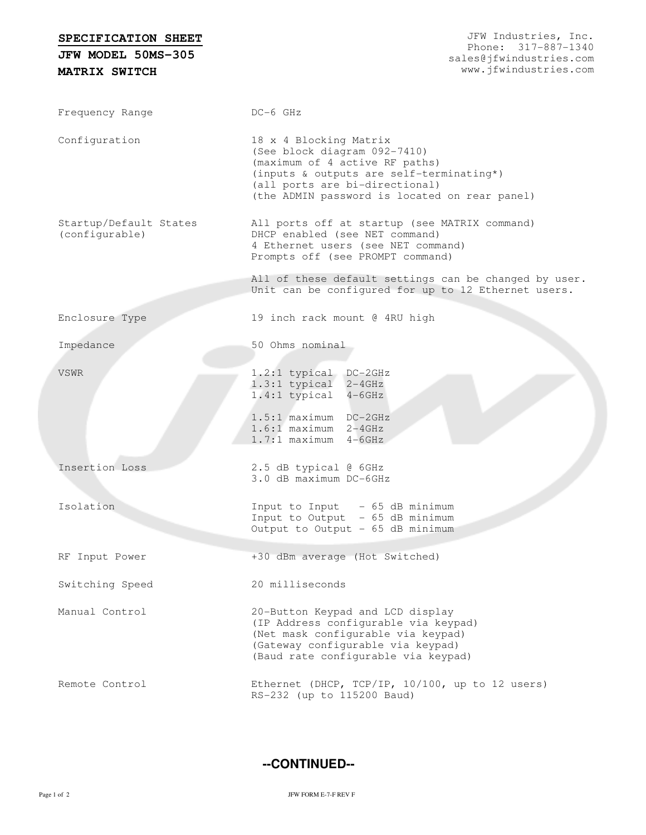## **SPECIFICATION SHEET**

**MATRIX SWITCH JFW MODEL 50MS-305**

Frequency Range DC-6 GHz Configuration 18 x 4 Blocking Matrix (See block diagram 092-7410) (maximum of 4 active RF paths) (inputs & outputs are self-terminating\*) (all ports are bi-directional) (the ADMIN password is located on rear panel) Startup/Default States (configurable) All ports off at startup (see MATRIX command) DHCP enabled (see NET command) 4 Ethernet users (see NET command) Prompts off (see PROMPT command) All of these default settings can be changed by user. Unit can be configured for up to 12 Ethernet users. Enclosure Type 19 inch rack mount @ 4RU high Impedance 50 Ohms nominal VSWR 1.2:1 typical DC-2GHz 1.3:1 typical 2-4GHz 1.4:1 typical 4-6GHz 1.5:1 maximum DC-2GHz 1.6:1 maximum 2-4GHz 1.7:1 maximum 4-6GHz Insertion Loss 2.5 dB typical @ 6GHz 3.0 dB maximum DC-6GHz Isolation Input to Input - 65 dB minimum Input to Output - 65 dB minimum Output to Output - 65 dB minimum RF Input Power +30 dBm average (Hot Switched) Switching Speed 20 milliseconds Manual Control 20-Button Keypad and LCD display (IP Address configurable via keypad) (Net mask configurable via keypad) (Gateway configurable via keypad) (Baud rate configurable via keypad) Remote Control Ethernet (DHCP, TCP/IP, 10/100, up to 12 users) RS-232 (up to 115200 Baud)

**--CONTINUED--**